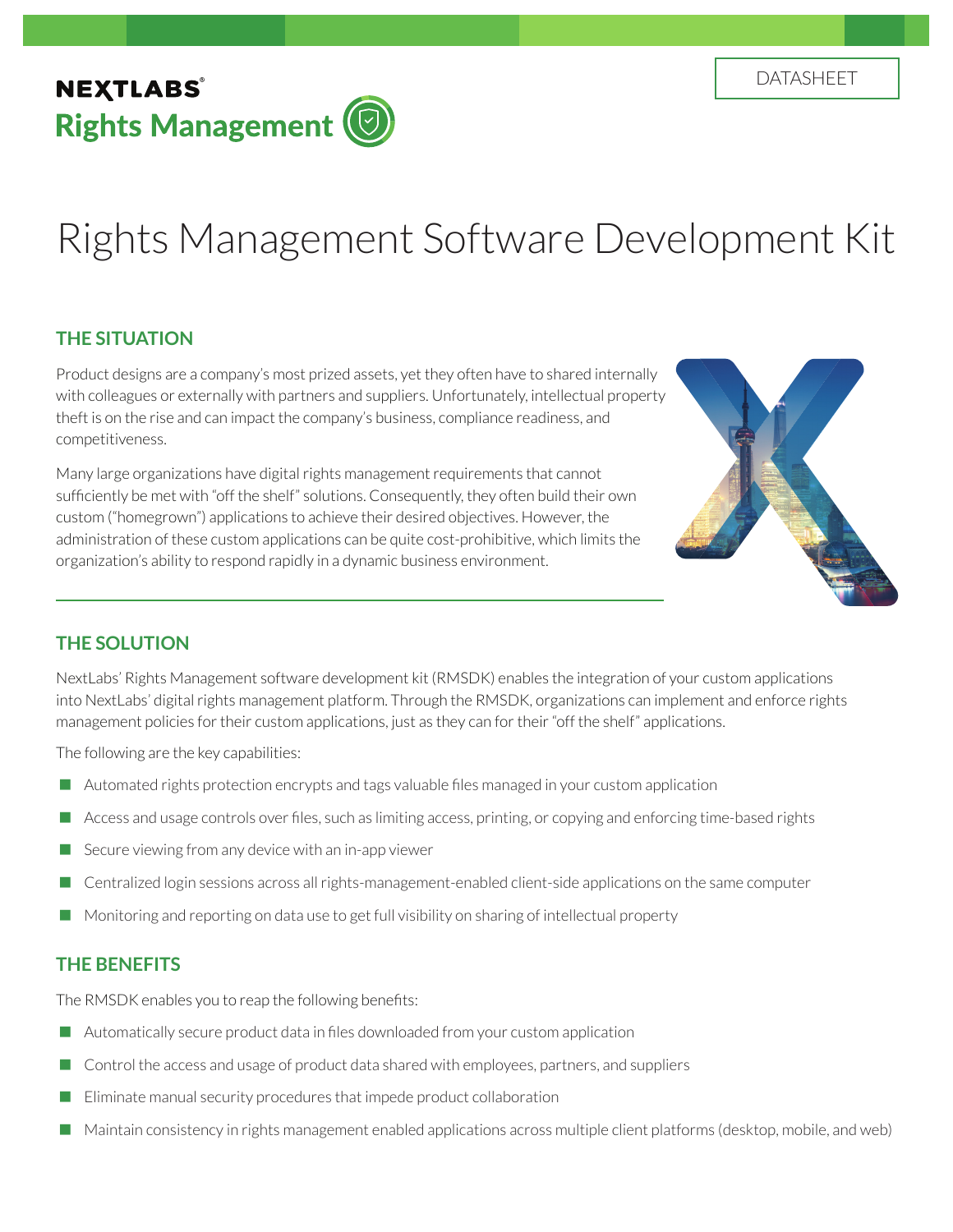# Rights Management Software Development Kit

# **THE SITUATION**

Product designs are a company's most prized assets, yet they often have to shared internally with colleagues or externally with partners and suppliers. Unfortunately, intellectual property theft is on the rise and can impact the company's business, compliance readiness, and competitiveness.

Many large organizations have digital rights management requirements that cannot sufficiently be met with "off the shelf" solutions. Consequently, they often build their own custom ("homegrown") applications to achieve their desired objectives. However, the administration of these custom applications can be quite cost-prohibitive, which limits the organization's ability to respond rapidly in a dynamic business environment.



# **THE SOLUTION**

NextLabs' Rights Management software development kit (RMSDK) enables the integration of your custom applications into NextLabs' digital rights management platform. Through the RMSDK, organizations can implement and enforce rights management policies for their custom applications, just as they can for their "off the shelf" applications.

The following are the key capabilities:

- **Automated rights protection encrypts and tags valuable files managed in your custom application**
- Access and usage controls over files, such as limiting access, printing, or copying and enforcing time-based rights
- $\blacksquare$  Secure viewing from any device with an in-app viewer
- **Centralized login sessions across all rights-management-enabled client-side applications on the same computer**
- Monitoring and reporting on data use to get full visibility on sharing of intellectual property

## **THE BENEFITS**

The RMSDK enables you to reap the following benefits:

- Automatically secure product data in files downloaded from your custom application
- $\Box$  Control the access and usage of product data shared with employees, partners, and suppliers
- Eliminate manual security procedures that impede product collaboration
- Maintain consistency in rights management enabled applications across multiple client platforms (desktop, mobile, and web)